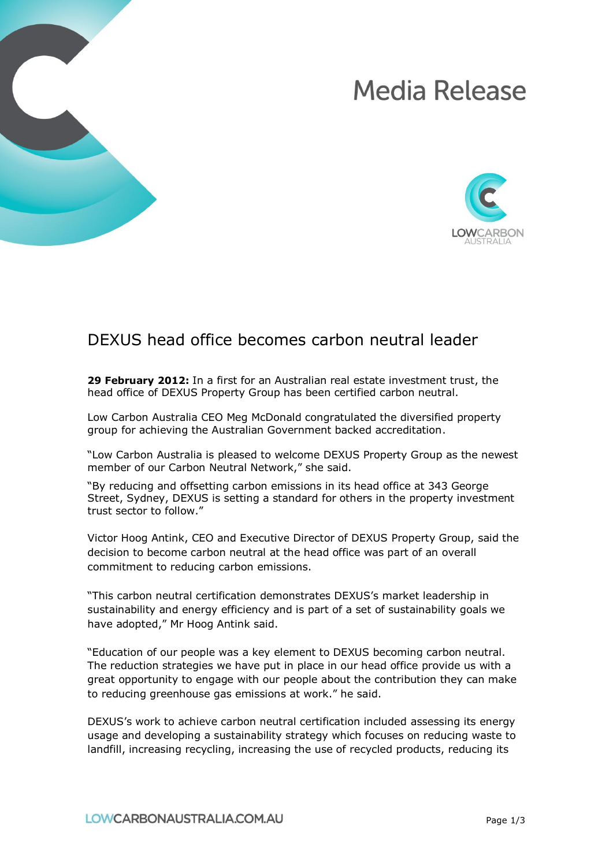# **Media Release**



# DEXUS head office becomes carbon neutral leader

**29 February 2012:** In a first for an Australian real estate investment trust, the head office of DEXUS Property Group has been certified carbon neutral.

Low Carbon Australia CEO Meg McDonald congratulated the diversified property group for achieving the Australian Government backed accreditation.

"Low Carbon Australia is pleased to welcome DEXUS Property Group as the newest member of our Carbon Neutral Network," she said.

"By reducing and offsetting carbon emissions in its head office at 343 George Street, Sydney, DEXUS is setting a standard for others in the property investment trust sector to follow."

Victor Hoog Antink, CEO and Executive Director of DEXUS Property Group, said the decision to become carbon neutral at the head office was part of an overall commitment to reducing carbon emissions.

"This carbon neutral certification demonstrates DEXUS's market leadership in sustainability and energy efficiency and is part of a set of sustainability goals we have adopted," Mr Hoog Antink said.

"Education of our people was a key element to DEXUS becoming carbon neutral. The reduction strategies we have put in place in our head office provide us with a great opportunity to engage with our people about the contribution they can make to reducing greenhouse gas emissions at work." he said.

DEXUS's work to achieve carbon neutral certification included assessing its energy usage and developing a sustainability strategy which focuses on reducing waste to landfill, increasing recycling, increasing the use of recycled products, reducing its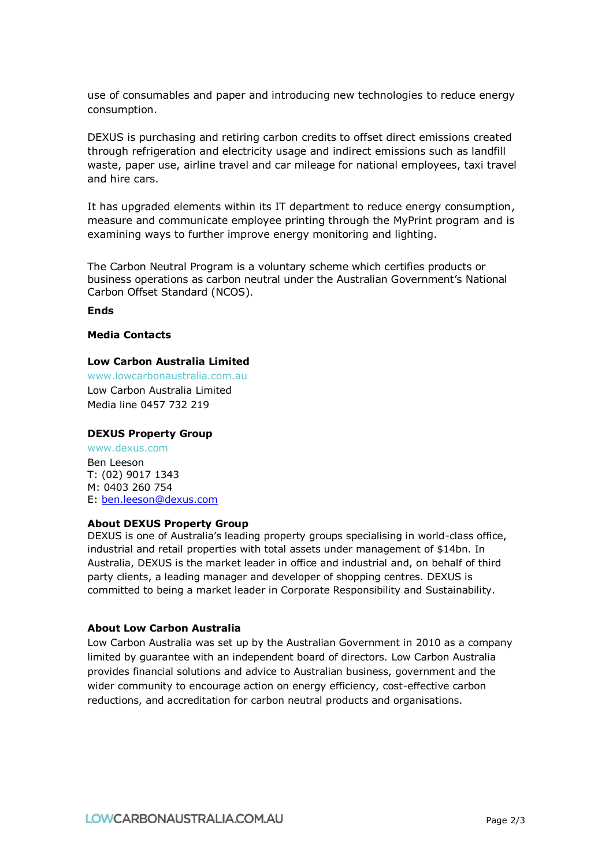use of consumables and paper and introducing new technologies to reduce energy consumption.

DEXUS is purchasing and retiring carbon credits to offset direct emissions created through refrigeration and electricity usage and indirect emissions such as landfill waste, paper use, airline travel and car mileage for national employees, taxi travel and hire cars.

It has upgraded elements within its IT department to reduce energy consumption, measure and communicate employee printing through the MyPrint program and is examining ways to further improve energy monitoring and lighting.

The Carbon Neutral Program is a voluntary scheme which certifies products or business operations as carbon neutral under the Australian Government's National Carbon Offset Standard (NCOS).

**Ends**

#### **Media Contacts**

#### **Low Carbon Australia Limited**

www.lowcarbonaustralia.com.au Low Carbon Australia Limited Media line 0457 732 219

#### **DEXUS Property Group**

www.dexus.com Ben Leeson T: (02) 9017 1343 M: 0403 260 754 E: [ben.leeson@dexus.com](mailto:ben.leeson@dexus.com)

# **About DEXUS Property Group**

DEXUS is one of Australia's leading property groups specialising in world-class office, industrial and retail properties with total assets under management of \$14bn. In Australia, DEXUS is the market leader in office and industrial and, on behalf of third party clients, a leading manager and developer of shopping centres. DEXUS is committed to being a market leader in Corporate Responsibility and Sustainability.

## **About Low Carbon Australia**

Low Carbon Australia was set up by the Australian Government in 2010 as a company limited by guarantee with an independent board of directors. Low Carbon Australia provides financial solutions and advice to Australian business, government and the wider community to encourage action on energy efficiency, cost-effective carbon reductions, and accreditation for carbon neutral products and organisations.